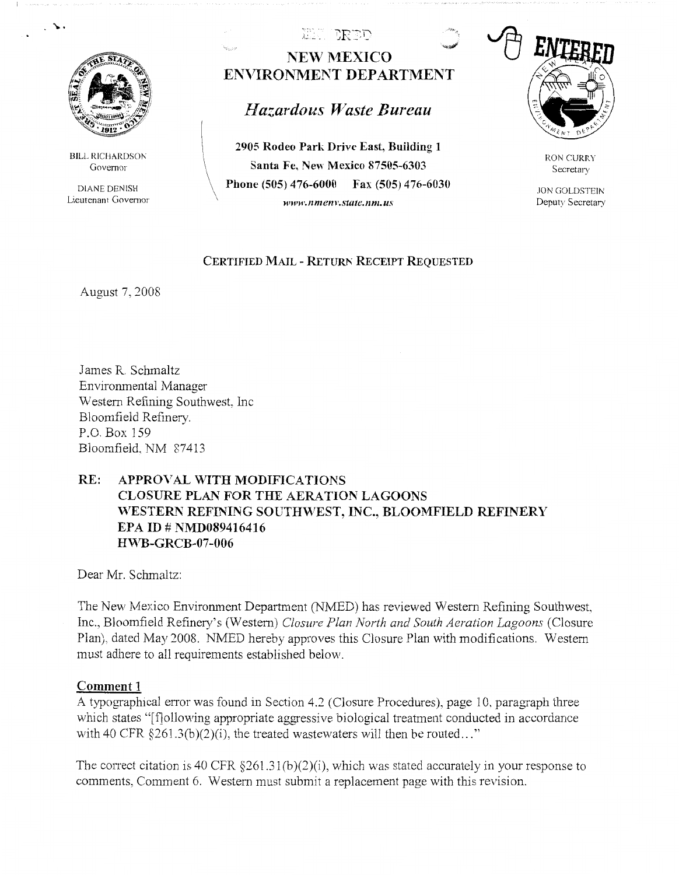

 $\ddot{\cdot}$ 

**BILL RICHARDSON** Governor

DIANE DENISH Lieutenant Governor

## EL BRET **NEW MEXICO ENVIRONMENT DEPARTMENT**

# *Hazardous Waste Bureau*

**2905 Rodeo Park Drive East, Building l Santa Fe, New Mexico 87505-6303 Phone (505) 476-6000 Fax (505) 476-6030**  *www.nmenv.statc.nm.us* 



RON CURRY Secretary

JON GOLDSTEIN Deputy Secretary

#### **CERTIFIED MAIL - RETURN RECEIPT REQUESTED**

August 7, 2008

James R. Schmaltz Environmental Manager Western Refining Southwest, Inc. Bloomfield Refinery. P.O.Box 159 Bloomfield. NM 87413

## **RE: APPROVAL \VITH MODIFICATIONS CLOSURE PLAN FOR THE AERATION LAGOONS**  WESTERN REFINING SOUTHWEST, INC., BLOOMFIELD REFINERY **EPA ID# NMD089416416 H~<sup>7</sup> B-GRCB-07-006**

Dear Mr. Schmaltz:

The New Mexico Environment Department (NMED) has reviewed Western Refining Southwest. Inc., Bloomfield Refinery's (Western) *Closure Plan North and South Aeration Lagoons* (Closure Plan), dated May 2008. NMED hereby approves this Closure Plan with modifications. Western must adhere to all requirements established below.

### **Comment 1**

A typographical error was found in Section 4.2 (Closure Procedures), page 10, paragraph three which states "[f]ollowing appropriate aggressive biological treatment conducted in accordance with 40 CFR  $\S 261.3(b)(2)(i)$ , the treated wastewaters will then be routed..."

The correct citation is 40 CFR  $\S 261.31(b)(2)(i)$ , which was stated accurately in your response to comments, Comment 6. Western must submit a replacement page with this revision.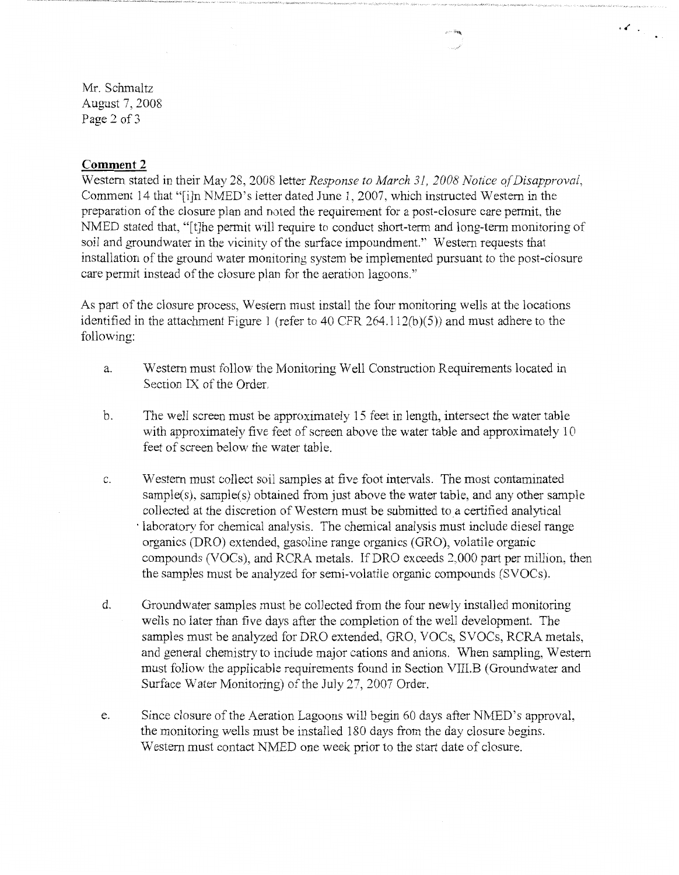Mr. Schmaltz August 7, 2008 Page 2 of 3

#### **Comment 2**

Western stated in their May 28, 2008 letter *Response to March 31, 2008 Notice of Disapproval*, Comment 14 that "[i]n NMED's letter dated June 1, 2007, which instructed Western in the preparation of the closure plan and noted the requirement for a post-closure care permit, the NMED stated that, "[t]he permit will require to conduct short-term and long-term monitoring of soil and groundwater in the vicinity of the surface impoundment.'' Western requests that installation of the ground water monitoring system be implemented pursuant to the post-closure care permit instead of the closure plan for the aeration lagoons."

As part of the closure process, Western must install the four monitoring wells at the locations identified in the attachment Figure 1 (refer to 40 CFR 264.112(b)(5)) and must adhere to the following:

- a. Western must follow the Monitoring Well Construction Requirements located in Section IX of the Order.
- b. The well screen must be approximately 15 feet in length, intersect the water table with approximately five feet of screen above the water table and approximately 10 feet of screen below the water table.
- c. Western must collect soil samples at five foot intervals. The most contaminated sample(s), sample(s) obtained from just above the water table, and any other sample collected at the discretion of Western must be submitted to a certified analytical · laboratory for chemical analysis. The chemical analysis must include diesel range organics (DRO) extended, gasoline range organics (GRO), volatile organic compounds (VOCs), and RCRA metals. lf DRO exceeds 2,000 part per million, then the samples must be analyzed for semi-volatile organic compounds (SVOCs).
- d. Groundwater samples must be collected from the four newly installed monitoring wells no later than five days after the completion of the well development. The samples must be analyzed for DRO extended, GRO, VOCs, SVOCs, RCRA metals, and general chemistry to include major cations and anions. When sampling, Western must follow the applicable requirements found in Section VIII.B (Groundwater and Surface Water Monitoring) of the July 27, 2007 Order.
- e. Since closure of the Aeration Lagoons will begin 60 days after NMED's approval, the monitoring wells must be installed 180 days from the day closure begins. Western must contact NMED one week prior to the start date of closure.

 $\cdot$   $\cdot$   $\cdot$   $\cdot$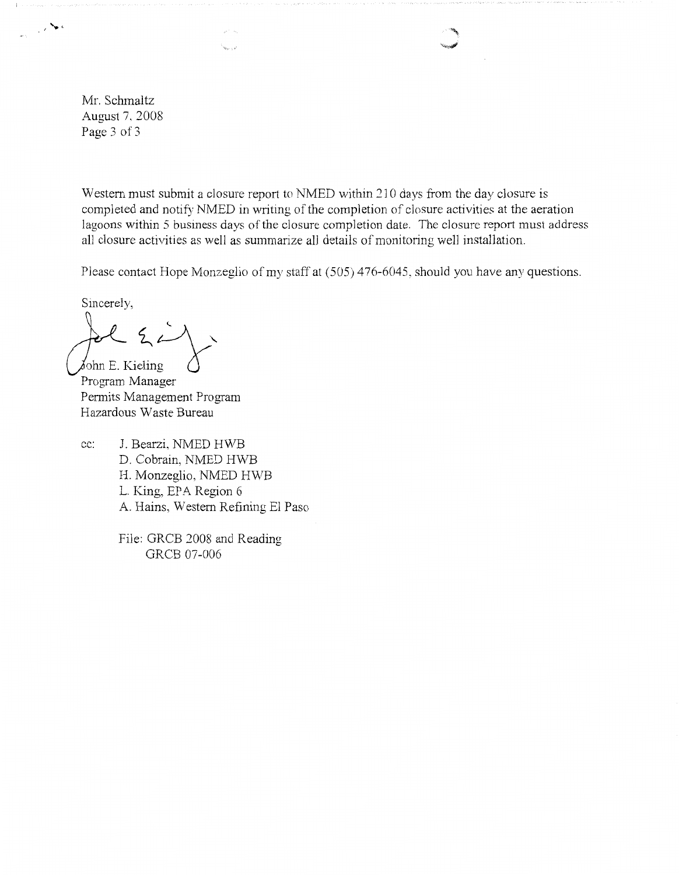Mr. Schmaltz August 7, 2008 Page 3 of 3

 $\mathbb{R}^n$  .

Western must submit a closure report to NMED within 210 days from the day closure is completed and notify NMED in writing of the completion of closure activities at the aeration lagoons within 5 business days of the closure completion date. The closure report must address all closure activities as well as summarize all details of monitoring well installation.

Please contact Hope Monzeglio of my staff at (505) 476-6045, should you have any questions.

Sincerely,

**J.:**<br>John E. Kieling<br>Program Manager

Permits Management Program Hazardous Waste Bureau

cc: J. Bearzi, NMED H'WB D. Cobrain, NMED HWB H. Monzeglio, NMED HWB L. King, EPA Region 6 A. Hains, Western Refining El Paso

 $\mathbf{v}_{k_1,\ldots,k_n}$ 

File: GRCB 2008 and Reading GRCB 07-006